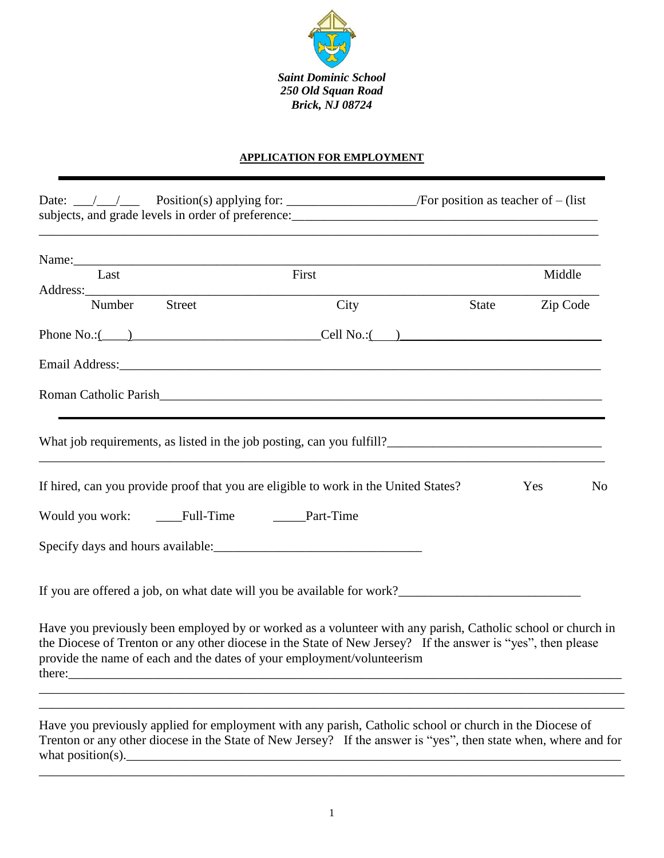

## **APPLICATION FOR EMPLOYMENT**

| Last                                            | First                                                                                                                                                                                                                                                                                                |       | Middle   |                |
|-------------------------------------------------|------------------------------------------------------------------------------------------------------------------------------------------------------------------------------------------------------------------------------------------------------------------------------------------------------|-------|----------|----------------|
|                                                 |                                                                                                                                                                                                                                                                                                      |       |          |                |
| Number<br>Street                                | City                                                                                                                                                                                                                                                                                                 | State | Zip Code |                |
|                                                 | Phone No.: $\underline{\hspace{1cm}}$ 2 Dell No.: $\underline{\hspace{1cm}}$ Cell No.: $\underline{\hspace{1cm}}$                                                                                                                                                                                    |       |          |                |
|                                                 |                                                                                                                                                                                                                                                                                                      |       |          |                |
|                                                 |                                                                                                                                                                                                                                                                                                      |       |          |                |
|                                                 |                                                                                                                                                                                                                                                                                                      |       |          |                |
|                                                 | If hired, can you provide proof that you are eligible to work in the United States?                                                                                                                                                                                                                  |       | Yes      | N <sub>o</sub> |
| Would you work: _____Full-Time _______Part-Time |                                                                                                                                                                                                                                                                                                      |       |          |                |
|                                                 |                                                                                                                                                                                                                                                                                                      |       |          |                |
|                                                 | If you are offered a job, on what date will you be available for work?                                                                                                                                                                                                                               |       |          |                |
|                                                 | Have you previously been employed by or worked as a volunteer with any parish, Catholic school or church in<br>the Diocese of Trenton or any other diocese in the State of New Jersey? If the answer is "yes", then please<br>provide the name of each and the dates of your employment/volunteerism |       |          |                |

\_\_\_\_\_\_\_\_\_\_\_\_\_\_\_\_\_\_\_\_\_\_\_\_\_\_\_\_\_\_\_\_\_\_\_\_\_\_\_\_\_\_\_\_\_\_\_\_\_\_\_\_\_\_\_\_\_\_\_\_\_\_\_\_\_\_\_\_\_\_\_\_\_\_\_\_\_\_\_\_\_\_\_\_\_\_\_\_\_\_

what position(s).  $\blacksquare$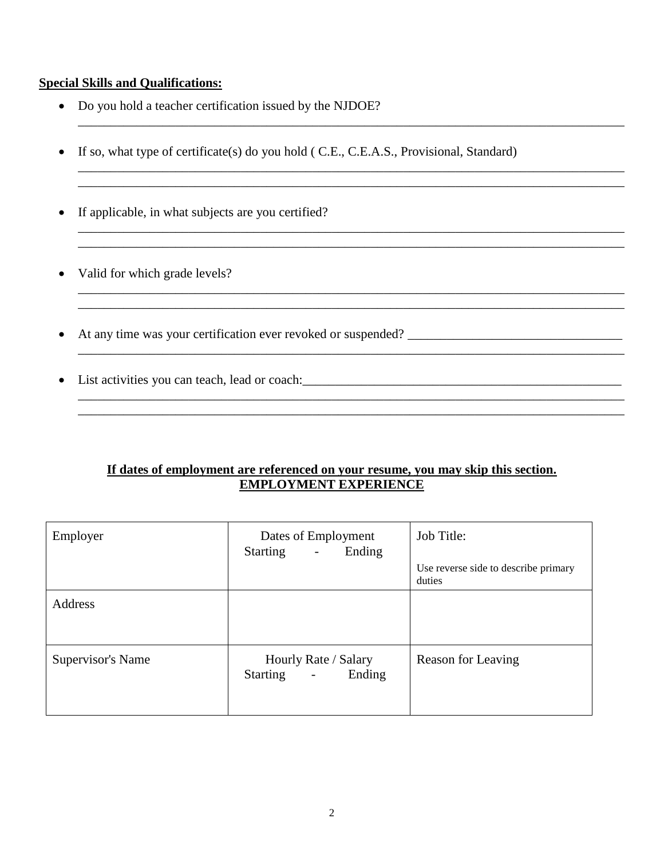## **Special Skills and Qualifications:**

- Do you hold a teacher certification issued by the NJDOE?
- If so, what type of certificate(s) do you hold ( C.E., C.E.A.S., Provisional, Standard)

\_\_\_\_\_\_\_\_\_\_\_\_\_\_\_\_\_\_\_\_\_\_\_\_\_\_\_\_\_\_\_\_\_\_\_\_\_\_\_\_\_\_\_\_\_\_\_\_\_\_\_\_\_\_\_\_\_\_\_\_\_\_\_\_\_\_\_\_\_\_\_\_\_\_\_\_\_\_\_\_\_\_\_\_

\_\_\_\_\_\_\_\_\_\_\_\_\_\_\_\_\_\_\_\_\_\_\_\_\_\_\_\_\_\_\_\_\_\_\_\_\_\_\_\_\_\_\_\_\_\_\_\_\_\_\_\_\_\_\_\_\_\_\_\_\_\_\_\_\_\_\_\_\_\_\_\_\_\_\_\_\_\_\_\_\_\_\_\_

\_\_\_\_\_\_\_\_\_\_\_\_\_\_\_\_\_\_\_\_\_\_\_\_\_\_\_\_\_\_\_\_\_\_\_\_\_\_\_\_\_\_\_\_\_\_\_\_\_\_\_\_\_\_\_\_\_\_\_\_\_\_\_\_\_\_\_\_\_\_\_\_\_\_\_\_\_\_\_\_\_\_\_\_ \_\_\_\_\_\_\_\_\_\_\_\_\_\_\_\_\_\_\_\_\_\_\_\_\_\_\_\_\_\_\_\_\_\_\_\_\_\_\_\_\_\_\_\_\_\_\_\_\_\_\_\_\_\_\_\_\_\_\_\_\_\_\_\_\_\_\_\_\_\_\_\_\_\_\_\_\_\_\_\_\_\_\_\_

\_\_\_\_\_\_\_\_\_\_\_\_\_\_\_\_\_\_\_\_\_\_\_\_\_\_\_\_\_\_\_\_\_\_\_\_\_\_\_\_\_\_\_\_\_\_\_\_\_\_\_\_\_\_\_\_\_\_\_\_\_\_\_\_\_\_\_\_\_\_\_\_\_\_\_\_\_\_\_\_\_\_\_\_

\_\_\_\_\_\_\_\_\_\_\_\_\_\_\_\_\_\_\_\_\_\_\_\_\_\_\_\_\_\_\_\_\_\_\_\_\_\_\_\_\_\_\_\_\_\_\_\_\_\_\_\_\_\_\_\_\_\_\_\_\_\_\_\_\_\_\_\_\_\_\_\_\_\_\_\_\_\_\_\_\_\_\_\_

\_\_\_\_\_\_\_\_\_\_\_\_\_\_\_\_\_\_\_\_\_\_\_\_\_\_\_\_\_\_\_\_\_\_\_\_\_\_\_\_\_\_\_\_\_\_\_\_\_\_\_\_\_\_\_\_\_\_\_\_\_\_\_\_\_\_\_\_\_\_\_\_\_\_\_\_\_\_\_\_\_\_\_\_

- If applicable, in what subjects are you certified?
- Valid for which grade levels?
- At any time was your certification ever revoked or suspended? \_\_\_\_\_\_\_\_\_\_\_\_\_\_\_\_\_\_\_\_\_\_\_\_\_\_\_\_\_\_\_\_\_

\_\_\_\_\_\_\_\_\_\_\_\_\_\_\_\_\_\_\_\_\_\_\_\_\_\_\_\_\_\_\_\_\_\_\_\_\_\_\_\_\_\_\_\_\_\_\_\_\_\_\_\_\_\_\_\_\_\_\_\_\_\_\_\_\_\_\_\_\_\_\_\_\_\_\_\_\_\_\_\_\_\_\_\_

List activities you can teach, lead or coach:\_\_\_\_\_\_\_\_\_\_\_\_\_\_\_\_\_\_\_\_\_\_\_\_\_\_\_\_\_\_\_\_\_\_\_\_\_\_\_\_\_\_\_\_\_\_\_\_\_

## **If dates of employment are referenced on your resume, you may skip this section. EMPLOYMENT EXPERIENCE**

| Employer          | Dates of Employment<br>Ending<br><b>Starting</b><br>$\mathbb{L}^{\mathbb{N}}$ | Job Title:<br>Use reverse side to describe primary<br>duties |
|-------------------|-------------------------------------------------------------------------------|--------------------------------------------------------------|
| Address           |                                                                               |                                                              |
| Supervisor's Name | Hourly Rate / Salary<br>Ending<br>Starting<br>$\blacksquare$                  | Reason for Leaving                                           |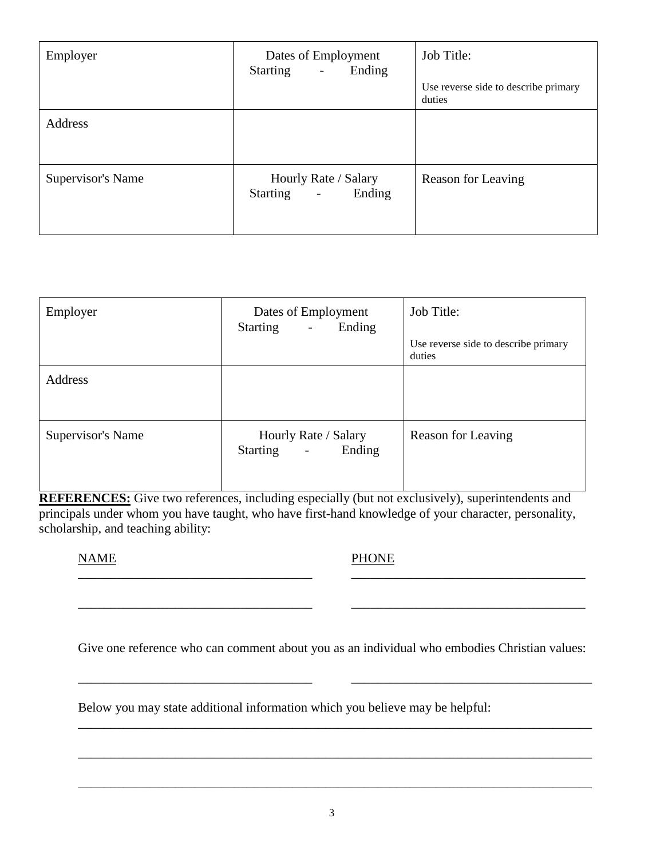| Employer          | Dates of Employment<br>Ending<br><b>Starting</b><br>$\overline{\phantom{a}}$ | Job Title:<br>Use reverse side to describe primary<br>duties |
|-------------------|------------------------------------------------------------------------------|--------------------------------------------------------------|
| Address           |                                                                              |                                                              |
| Supervisor's Name | Hourly Rate / Salary<br>Starting<br>Ending<br>$\overline{a}$                 | Reason for Leaving                                           |

| Employer          | Dates of Employment<br><b>Starting</b><br>Ending<br>$\mathcal{L}_{\mathcal{A}}$ | Job Title:<br>Use reverse side to describe primary<br>duties |
|-------------------|---------------------------------------------------------------------------------|--------------------------------------------------------------|
| <b>Address</b>    |                                                                                 |                                                              |
| Supervisor's Name | Hourly Rate / Salary<br>Starting -<br>Ending                                    | Reason for Leaving                                           |

**REFERENCES:** Give two references, including especially (but not exclusively), superintendents and principals under whom you have taught, who have first-hand knowledge of your character, personality, scholarship, and teaching ability:

NAME PHONE

Give one reference who can comment about you as an individual who embodies Christian values:

\_\_\_\_\_\_\_\_\_\_\_\_\_\_\_\_\_\_\_\_\_\_\_\_\_\_\_\_\_\_\_\_\_\_\_\_ \_\_\_\_\_\_\_\_\_\_\_\_\_\_\_\_\_\_\_\_\_\_\_\_\_\_\_\_\_\_\_\_\_\_\_\_\_

\_\_\_\_\_\_\_\_\_\_\_\_\_\_\_\_\_\_\_\_\_\_\_\_\_\_\_\_\_\_\_\_\_\_\_\_\_\_\_\_\_\_\_\_\_\_\_\_\_\_\_\_\_\_\_\_\_\_\_\_\_\_\_\_\_\_\_\_\_\_\_\_\_\_\_\_\_\_\_

\_\_\_\_\_\_\_\_\_\_\_\_\_\_\_\_\_\_\_\_\_\_\_\_\_\_\_\_\_\_\_\_\_\_\_\_\_\_\_\_\_\_\_\_\_\_\_\_\_\_\_\_\_\_\_\_\_\_\_\_\_\_\_\_\_\_\_\_\_\_\_\_\_\_\_\_\_\_\_

\_\_\_\_\_\_\_\_\_\_\_\_\_\_\_\_\_\_\_\_\_\_\_\_\_\_\_\_\_\_\_\_\_\_\_\_\_\_\_\_\_\_\_\_\_\_\_\_\_\_\_\_\_\_\_\_\_\_\_\_\_\_\_\_\_\_\_\_\_\_\_\_\_\_\_\_\_\_\_

\_\_\_\_\_\_\_\_\_\_\_\_\_\_\_\_\_\_\_\_\_\_\_\_\_\_\_\_\_\_\_\_\_\_\_\_ \_\_\_\_\_\_\_\_\_\_\_\_\_\_\_\_\_\_\_\_\_\_\_\_\_\_\_\_\_\_\_\_\_\_\_\_

\_\_\_\_\_\_\_\_\_\_\_\_\_\_\_\_\_\_\_\_\_\_\_\_\_\_\_\_\_\_\_\_\_\_\_\_ \_\_\_\_\_\_\_\_\_\_\_\_\_\_\_\_\_\_\_\_\_\_\_\_\_\_\_\_\_\_\_\_\_\_\_\_

Below you may state additional information which you believe may be helpful: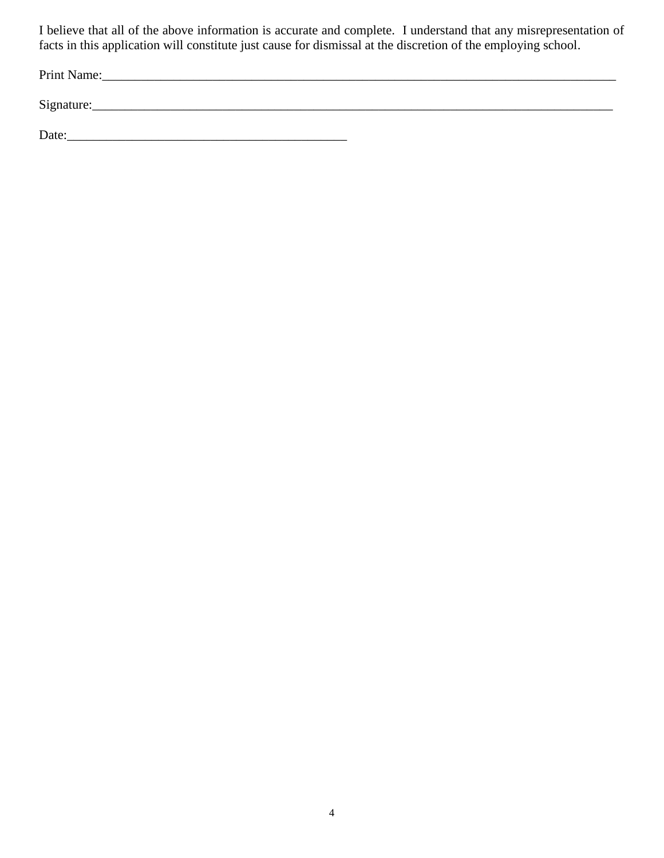I believe that all of the above information is accurate and complete. I understand that any misrepresentation of facts in this application will constitute just cause for dismissal at the discretion of the employing school.

Print Name:\_\_\_\_\_\_\_\_\_\_\_\_\_\_\_\_\_\_\_\_\_\_\_\_\_\_\_\_\_\_\_\_\_\_\_\_\_\_\_\_\_\_\_\_\_\_\_\_\_\_\_\_\_\_\_\_\_\_\_\_\_\_\_\_\_\_\_\_\_\_\_\_\_\_\_\_\_\_\_

 $Signature:$ 

Date:\_\_\_\_\_\_\_\_\_\_\_\_\_\_\_\_\_\_\_\_\_\_\_\_\_\_\_\_\_\_\_\_\_\_\_\_\_\_\_\_\_\_\_